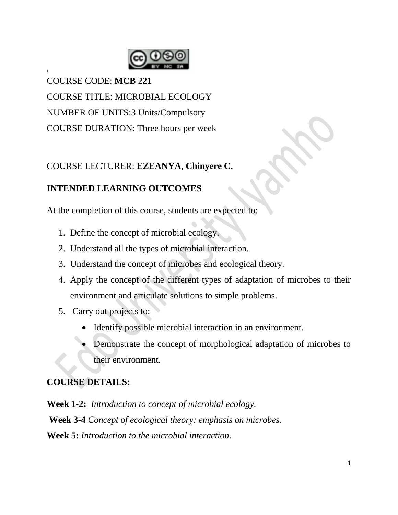

COURSE CODE: **MCB 221** COURSE TITLE: MICROBIAL ECOLOGY NUMBER OF UNITS:3 Units/Compulsory COURSE DURATION: Three hours per week

I

# COURSE LECTURER: **EZEANYA, Chinyere C.**

# **INTENDED LEARNING OUTCOMES**

At the completion of this course, students are expected to:

- 1. Define the concept of microbial ecology.
- 2. Understand all the types of microbial interaction.
- 3. Understand the concept of microbes and ecological theory.
- 4. Apply the concept of the different types of adaptation of microbes to their environment and articulate solutions to simple problems.
- 5. Carry out projects to:
	- Identify possible microbial interaction in an environment.
	- Demonstrate the concept of morphological adaptation of microbes to their environment.

### **COURSE DETAILS:**

**Week 1-2:** *Introduction to concept of microbial ecology.*

**Week 3-4** *Concept of ecological theory: emphasis on microbes.*

**Week 5:** *Introduction to the microbial interaction.*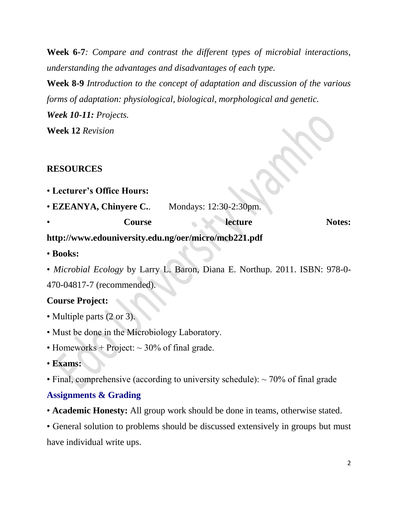**Week 6-7***: Compare and contrast the different types of microbial interactions, understanding the advantages and disadvantages of each type.*

**Week 8-9** *Introduction to the concept of adaptation and discussion of the various forms of adaptation: physiological, biological, morphological and genetic. Week 10-11: Projects.*

**Week 12** *Revision*

### **RESOURCES**

|  | • Lecturer's Office Hours: |  |  |  |
|--|----------------------------|--|--|--|
|--|----------------------------|--|--|--|

| • EZEANYA, Chinyere C. | Mondays: 12:30-2:30pm. |               |
|------------------------|------------------------|---------------|
| Course                 | lecture                | <b>Notes:</b> |

### **http://www.edouniversity.edu.ng/oer/micro/mcb221.pdf**

• **Books:**

• *Microbial Ecology* by Larry L. Baron, Diana E. Northup. 2011. ISBN: 978-0- 470-04817-7 (recommended).

### **Course Project:**

- Multiple parts (2 or 3).
- Must be done in the Microbiology Laboratory.
- Homeworks + Project:  $\sim$  30% of final grade.
- **Exams:**
- Final, comprehensive (according to university schedule):  $\sim$  70% of final grade

#### **Assignments & Grading**

• **Academic Honesty:** All group work should be done in teams, otherwise stated.

• General solution to problems should be discussed extensively in groups but must have individual write ups.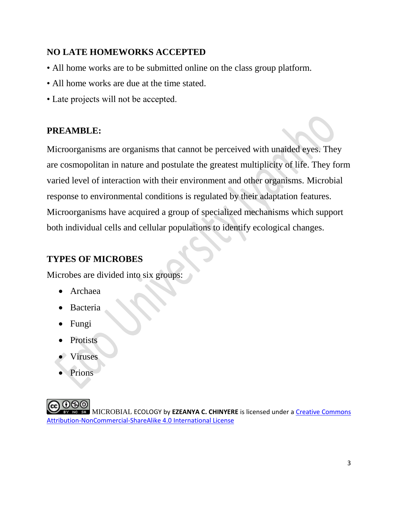### **NO LATE HOMEWORKS ACCEPTED**

- All home works are to be submitted online on the class group platform.
- All home works are due at the time stated.
- Late projects will not be accepted.

### **PREAMBLE:**

Microorganisms are organisms that cannot be perceived with unaided eyes. They are cosmopolitan in nature and postulate the greatest multiplicity of life. They form varied level of interaction with their environment and other organisms. Microbial response to environmental conditions is regulated by their adaptation features. Microorganisms have acquired a group of specialized mechanisms which support both individual cells and cellular populations to identify ecological changes.

### **TYPES OF MICROBES**

Microbes are divided into six groups:

- Archaea
- Bacteria
- Fungi
- **Protists**
- Viruses
- Prions

MICROBIAL ECOLOGY by **EZEANYA C. CHINYERE** is licensed under a [Creative Commons](http://creativecommons.org/licenses/by-nc-sa/4.0/)  [Attribution-NonCommercial-ShareAlike](http://creativecommons.org/licenses/by-nc-sa/4.0/) [4.0 International License](http://creativecommons.org/licenses/by-nc-sa/4.0/)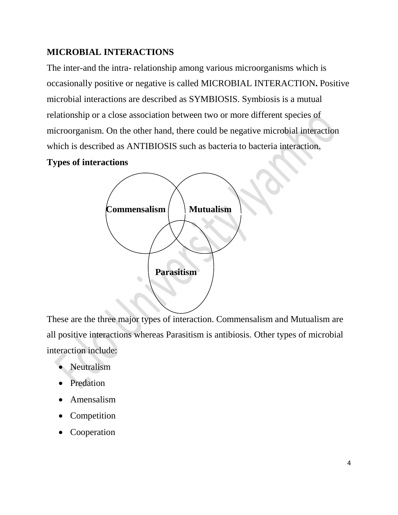### **MICROBIAL INTERACTIONS**

The inter-and the intra- relationship among various microorganisms which is occasionally positive or negative is called MICROBIAL INTERACTION**.** Positive microbial interactions are described as SYMBIOSIS. Symbiosis is a mutual relationship or a close association between two or more different species of microorganism. On the other hand, there could be negative microbial interaction which is described as ANTIBIOSIS such as bacteria to bacteria interaction.

#### **Types of interactions**



These are the three major types of interaction. Commensalism and Mutualism are all positive interactions whereas Parasitism is antibiosis. Other types of microbial interaction include:

- Neutralism
- Predation
- Amensalism
- Competition
- Cooperation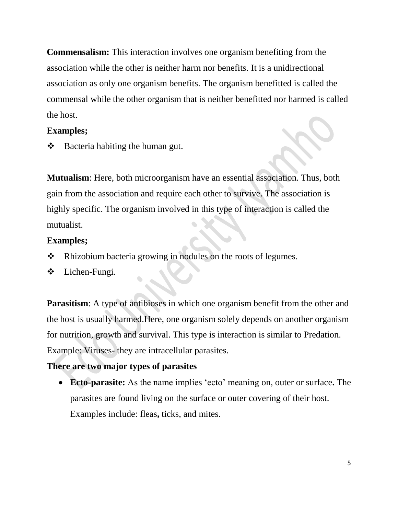**Commensalism:** This interaction involves one organism benefiting from the association while the other is neither harm nor benefits. It is a unidirectional association as only one organism benefits. The organism benefitted is called the commensal while the other organism that is neither benefitted nor harmed is called the host.

#### **Examples;**

 $\triangleleft$  Bacteria habiting the human gut.

**Mutualism**: Here, both microorganism have an essential association. Thus, both gain from the association and require each other to survive. The association is highly specific. The organism involved in this type of interaction is called the mutualist.

### **Examples;**

- ◆ Rhizobium bacteria growing in nodules on the roots of legumes.
- Lichen-Fungi.

**Parasitism**: A type of antibioses in which one organism benefit from the other and the host is usually harmed.Here, one organism solely depends on another organism for nutrition, growth and survival. This type is interaction is similar to Predation. Example: Viruses- they are intracellular parasites.

### **There are two major types of parasites**

 **Ecto-parasite:** As the name implies 'ecto' meaning on, outer or surface**.** The parasites are found living on the surface or outer covering of their host. Examples include: fleas**,** ticks, and mites.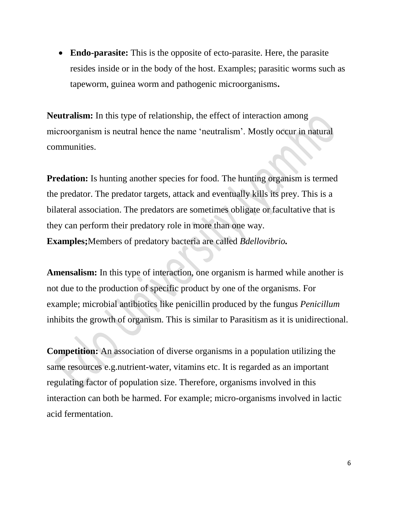**Endo-parasite:** This is the opposite of ecto-parasite. Here, the parasite resides inside or in the body of the host. Examples; parasitic worms such as tapeworm, guinea worm and pathogenic microorganisms**.**

**Neutralism:** In this type of relationship, the effect of interaction among microorganism is neutral hence the name 'neutralism'. Mostly occur in natural communities.

**Predation:** Is hunting another species for food. The hunting organism is termed the predator. The predator targets, attack and eventually kills its prey. This is a bilateral association. The predators are sometimes obligate or facultative that is they can perform their predatory role in more than one way. **Examples;**Members of predatory bacteria are called *Bdellovibrio.*

**Amensalism:** In this type of interaction, one organism is harmed while another is not due to the production of specific product by one of the organisms. For example; microbial antibiotics like penicillin produced by the fungus *Penicillum* inhibits the growth of organism. This is similar to Parasitism as it is unidirectional.

**Competition:** An association of diverse organisms in a population utilizing the same resources e.g.nutrient-water, vitamins etc. It is regarded as an important regulating factor of population size. Therefore, organisms involved in this interaction can both be harmed. For example; micro-organisms involved in lactic acid fermentation.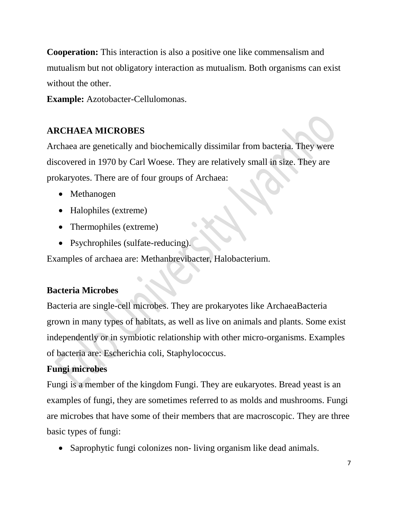**Cooperation:** This interaction is also a positive one like commensalism and mutualism but not obligatory interaction as mutualism. Both organisms can exist without the other.

**Example:** Azotobacter-Cellulomonas.

# **ARCHAEA MICROBES**

Archaea are genetically and biochemically dissimilar from bacteria. They were discovered in 1970 by Carl Woese. They are relatively small in size. They are prokaryotes. There are of four groups of Archaea:

- Methanogen
- Halophiles (extreme)
- Thermophiles (extreme)
- Psychrophiles (sulfate-reducing).

Examples of archaea are: Methanbrevibacter, Halobacterium.

# **Bacteria Microbes**

Bacteria are single-cell microbes. They are prokaryotes like ArchaeaBacteria grown in many types of habitats, as well as live on animals and plants. Some exist independently or in symbiotic relationship with other micro-organisms. Examples of bacteria are: Escherichia coli, Staphylococcus.

# **Fungi microbes**

Fungi is a member of the kingdom Fungi. They are eukaryotes. Bread yeast is an examples of fungi, they are sometimes referred to as molds and mushrooms. Fungi are microbes that have some of their members that are macroscopic. They are three basic types of fungi:

• Saprophytic fungi colonizes non- living organism like dead animals.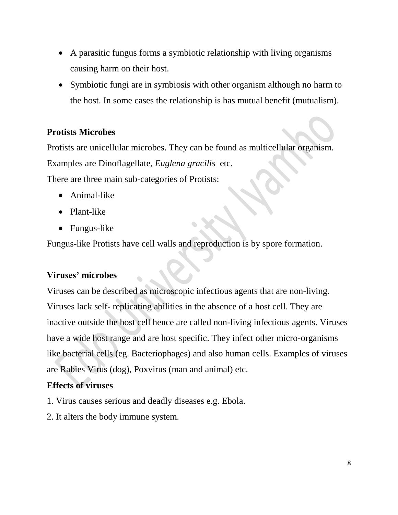- A parasitic fungus forms a symbiotic relationship with living organisms causing harm on their host.
- Symbiotic fungi are in symbiosis with other organism although no harm to the host. In some cases the relationship is has mutual benefit (mutualism).

### **Protists Microbes**

Protists are unicellular microbes. They can be found as multicellular organism. Examples are Dinoflagellate, *Euglena gracilis* etc.

There are three main sub-categories of Protists:

- Animal-like
- Plant-like
- Fungus-like

Fungus-like Protists have cell walls and reproduction is by spore formation.

# **Viruses' microbes**

Viruses can be described as microscopic infectious agents that are non-living. Viruses lack self- replicating abilities in the absence of a host cell. They are inactive outside the host cell hence are called non-living infectious agents. Viruses have a wide host range and are host specific. They infect other micro-organisms like bacterial cells (eg. Bacteriophages) and also human cells. Examples of viruses are Rabies Virus (dog), Poxvirus (man and animal) etc.

# **Effects of viruses**

- 1. Virus causes serious and deadly diseases e.g. Ebola.
- 2. It alters the body immune system.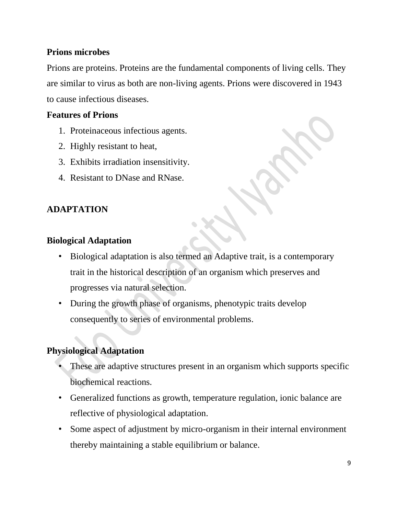### **Prions microbes**

Prions are proteins. Proteins are the fundamental components of living cells. They are similar to virus as both are non-living agents. Prions were discovered in 1943 to cause infectious diseases.

### **Features of Prions**

- 1. Proteinaceous infectious agents.
- 2. Highly resistant to heat,
- 3. Exhibits irradiation insensitivity.
- 4. Resistant to DNase and RNase.

# **ADAPTATION**

### **Biological Adaptation**

- Biological adaptation is also termed an Adaptive trait, is a contemporary trait in the historical description of an organism which preserves and progresses via natural selection.
- During the growth phase of organisms, phenotypic traits develop consequently to series of environmental problems.

### **Physiological Adaptation**

- These are adaptive structures present in an organism which supports specific biochemical reactions.
- Generalized functions as growth, temperature regulation, ionic balance are reflective of physiological adaptation.
- Some aspect of adjustment by micro-organism in their internal environment thereby maintaining a stable equilibrium or balance.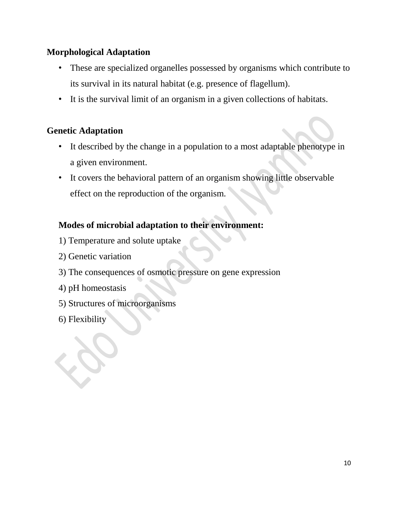### **Morphological Adaptation**

- These are specialized organelles possessed by organisms which contribute to its survival in its natural habitat (e.g. presence of flagellum).
- It is the survival limit of an organism in a given collections of habitats.

### **Genetic Adaptation**

- It described by the change in a population to a most adaptable phenotype in a given environment.
- It covers the behavioral pattern of an organism showing little observable effect on the reproduction of the organism.

### **Modes of microbial adaptation to their environment:**

- 1) Temperature and solute uptake
- 2) Genetic variation
- 3) The consequences of osmotic pressure on gene expression
- 4) pH homeostasis
- 5) Structures of microorganisms
- 6) Flexibility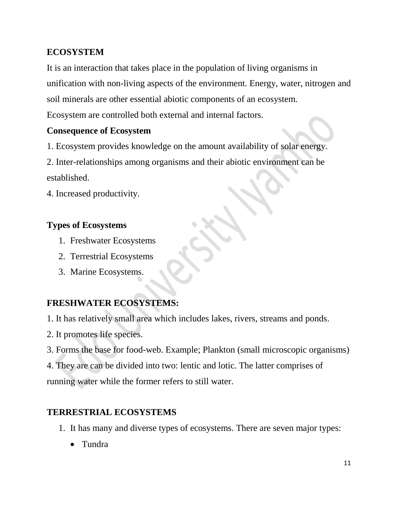# **ECOSYSTEM**

It is an interaction that takes place in the population of living organisms in unification with non-living aspects of the environment. Energy, water, nitrogen and soil minerals are other essential abiotic components of an ecosystem. Ecosystem are controlled both external and internal factors.

#### **Consequence of Ecosystem**

1. Ecosystem provides knowledge on the amount availability of solar energy.

2. Inter-relationships among organisms and their abiotic environment can be established.

4. Increased productivity.

### **Types of Ecosystems**

- 1. Freshwater Ecosystems
- 2. Terrestrial Ecosystems
- 3. Marine Ecosystems.

#### **FRESHWATER ECOSYSTEMS:**

- 1. It has relatively small area which includes lakes, rivers, streams and ponds.
- 2. It promotes life species.
- 3. Forms the base for food-web. Example; Plankton (small microscopic organisms)

4. They are can be divided into two: lentic and lotic. The latter comprises of running water while the former refers to still water.

#### **TERRESTRIAL ECOSYSTEMS**

- 1. It has many and diverse types of ecosystems. There are seven major types:
	- Tundra